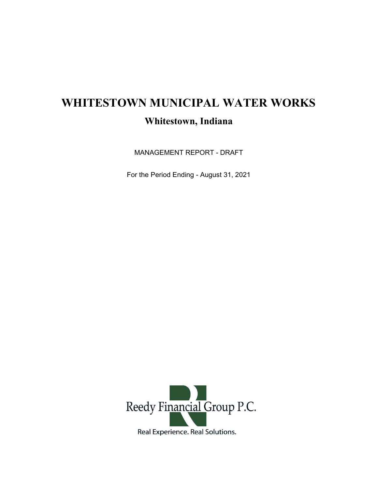## WHITESTOWN MUNICIPAL WATER WORKS Whitestown, Indiana

MANAGEMENT REPORT - DRAFT

For the Period Ending - August 31, 2021

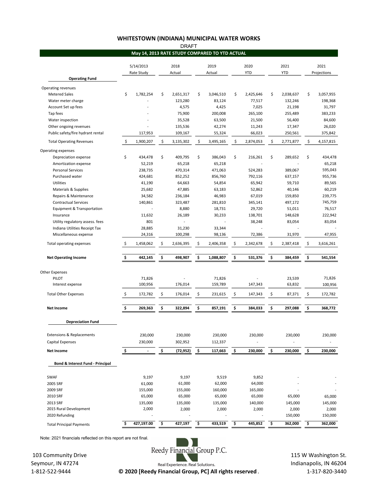## WHITESTOWN (INDIANA) MUNICIPAL WATER WORKS

|                                                      |                         |                   |                | <b>DRAFT</b>       |                |                                                |                    |                   |                    |                    |                     |                    |
|------------------------------------------------------|-------------------------|-------------------|----------------|--------------------|----------------|------------------------------------------------|--------------------|-------------------|--------------------|--------------------|---------------------|--------------------|
|                                                      |                         |                   |                |                    |                | May 14, 2013 RATE STUDY COMPARED TO YTD ACTUAL |                    |                   |                    |                    |                     |                    |
|                                                      | 5/14/2013<br>Rate Study |                   | 2018<br>Actual |                    | 2019<br>Actual |                                                | 2020<br><b>YTD</b> |                   | 2021<br><b>YTD</b> |                    | 2021<br>Projections |                    |
| <b>Operating Fund</b>                                |                         |                   |                |                    |                |                                                |                    |                   |                    |                    |                     |                    |
| Operating revenues                                   |                         |                   |                |                    |                |                                                |                    |                   |                    |                    |                     |                    |
| <b>Metered Sales</b>                                 | \$                      | 1,782,254         | \$             | 2,651,317          | \$             | 3,046,510                                      | \$                 | 2,425,646         | \$                 | 2,038,637          | \$                  | 3,057,955          |
| Water meter charge                                   |                         |                   |                | 123,280            |                | 83,124                                         |                    | 77,517            |                    | 132,246            |                     | 198,368            |
| Account Set up fees                                  |                         |                   |                | 4,575              |                | 4,425                                          |                    | 7,025             |                    | 21,198             |                     | 31,797             |
| Tap fees                                             |                         |                   |                | 75,900             |                | 200,008                                        |                    | 265,100           |                    | 255,489            |                     | 383,233            |
| Water inspection                                     |                         |                   |                | 35,528             |                | 63,500                                         |                    | 21,500            |                    | 56,400             |                     | 84,600             |
| Other ongoing revenues                               |                         |                   |                | 135,536            |                | 42,274                                         |                    | 11,243            |                    | 17,347             |                     | 26,020             |
| Public safety/fire hydrant rental                    |                         | 117,953           |                | 109,167            |                | 55,324                                         |                    | 66,023            |                    | 250,561            |                     | 375,842            |
| <b>Total Operating Revenues</b>                      | $\ddot{\mathsf{S}}$     | 1,900,207         | \$             | 3,135,302          | \$             | 3,495,165                                      | \$                 | 2,874,053         | \$                 | 2,771,877          | \$                  | 4,157,815          |
| Operating expenses                                   |                         |                   |                |                    |                |                                                |                    |                   |                    |                    |                     |                    |
| Depreciation expense                                 | \$                      | 434,478           | \$             | 409,795            | \$             | 386,043                                        | \$                 | 216,261           | \$                 | 289,652            | \$                  | 434,478            |
| Amortization expense                                 |                         | 52,219            |                | 65,218             |                | 65,218                                         |                    |                   |                    |                    |                     | 65,218             |
| <b>Personal Services</b>                             |                         | 238,735           |                | 470,314            |                | 471,063                                        |                    | 524,283           |                    | 389,067            |                     | 595,043            |
| Purchased water                                      |                         | 424,681           |                | 852,252            |                | 856,760                                        |                    | 792,116           |                    | 637,157            |                     | 955,736            |
| Utilities                                            |                         | 41,190            |                | 64,663             |                | 54,854                                         |                    | 65,942            |                    | 59,710             |                     | 89,565             |
| Materials & Supplies                                 |                         | 25,682            |                | 47,885             |                | 63,183                                         |                    | 52,862            |                    | 40,146             |                     | 60,219             |
| Repairs & Maintenance<br><b>Contractual Services</b> |                         | 34,582<br>140,861 |                | 236,184<br>323,487 |                | 46,983<br>281,810                              |                    | 67,019<br>345,141 |                    | 159,850<br>497,172 |                     | 239,775<br>745,759 |
| Equipment & Transportation                           |                         | $\overline{a}$    |                | 8,880              |                | 18,731                                         |                    | 29,720            |                    | 51,011             |                     | 76,517             |
| Insurance                                            |                         | 11,632            |                | 26,189             |                | 30,233                                         |                    | 138,701           |                    | 148,628            |                     | 222,942            |
| Utility regulatory assess. fees                      |                         | 801               |                |                    |                |                                                |                    | 38,248            |                    | 83,054             |                     | 83,054             |
| Indiana Utilities Receipt Tax                        |                         | 28,885            |                | 31,230             |                | 33,344                                         |                    |                   |                    |                    |                     |                    |
| Miscellaneous expense                                |                         | 24,316            |                | 100,298            |                | 98,136                                         |                    | 72,386            |                    | 31,970             |                     | 47,955             |
| Total operating expenses                             | \$                      | 1,458,062         | \$             | 2,636,395          | \$             | 2,406,358                                      | \$                 | 2,342,678         | \$                 | 2,387,418          | \$                  | 3,616,261          |
|                                                      |                         |                   |                |                    |                |                                                |                    |                   |                    |                    |                     |                    |
| <b>Net Operating Income</b>                          | \$                      | 442,145           | \$             | 498,907            | \$             | 1,088,807                                      | \$                 | 531,376           | \$                 | 384,459            | \$                  | 541,554            |
| <b>Other Expenses</b>                                |                         |                   |                |                    |                |                                                |                    |                   |                    |                    |                     |                    |
| PILOT                                                |                         | 71,826            |                |                    |                | 71,826                                         |                    |                   |                    | 23,539             |                     | 71,826             |
| Interest expense                                     |                         | 100,956           |                | 176,014            |                | 159,789                                        |                    | 147,343           |                    | 63,832             |                     | 100,956            |
| <b>Total Other Expenses</b>                          | \$                      | 172,782           | \$             | 176,014            | \$             | 231,615                                        | \$                 | 147,343           | \$                 | 87,371             | \$                  | 172,782            |
|                                                      |                         |                   |                |                    |                |                                                |                    |                   |                    |                    |                     |                    |
| <b>Net Income</b>                                    | \$                      | 269,363           | \$             | 322,894            | \$             | 857,191                                        | \$                 | 384,033           | \$                 | 297,088            | \$                  | 368,772            |
| <b>Depreciation Fund</b>                             |                         |                   |                |                    |                |                                                |                    |                   |                    |                    |                     |                    |
|                                                      |                         |                   |                |                    |                |                                                |                    |                   |                    |                    |                     |                    |
| <b>Extensions &amp; Replacements</b>                 |                         | 230,000           |                | 230,000            |                | 230,000                                        |                    | 230,000           |                    | 230,000            |                     | 230,000            |
| Capital Expenses                                     |                         | 230,000           |                | 302,952            |                | 112,337                                        |                    |                   |                    |                    |                     |                    |
| <b>Net Income</b>                                    | <u>\$</u>               |                   | \$             | (72,952)           | \$             | 117,663                                        | \$                 | 230,000           | \$                 | 230,000            | \$                  | 230,000            |
| Bond & Interest Fund - Principal                     |                         |                   |                |                    |                |                                                |                    |                   |                    |                    |                     |                    |
|                                                      |                         |                   |                |                    |                |                                                |                    |                   |                    |                    |                     |                    |
| SWAF<br>2005 SRF                                     |                         | 9,197<br>61,000   |                | 9,197<br>61,000    |                | 9,519<br>62,000                                |                    | 9,852<br>64,000   |                    |                    |                     |                    |
| 2009 SRF                                             |                         | 155,000           |                | 155,000            |                | 160,000                                        |                    | 165,000           |                    |                    |                     |                    |
| 2010 SRF                                             |                         | 65,000            |                | 65,000             |                | 65,000                                         |                    | 65,000            |                    | 65,000             |                     | 65,000             |
| 2013 SRF                                             |                         | 135,000           |                | 135,000            |                | 135,000                                        |                    | 140,000           |                    | 145,000            |                     | 145,000            |
| 2015 Rural Development                               |                         | 2,000             |                | 2,000              |                | 2,000                                          |                    | 2,000             |                    | 2,000              |                     | 2,000              |
| 2020 Refunding                                       |                         |                   |                |                    |                |                                                |                    |                   |                    | 150,000            |                     | 150,000            |
| <b>Total Principal Payments</b>                      | \$                      | 427,197.00        | \$             | 427,197            | \$             | 433,519                                        | \$                 | 445,852           | \$                 | 362,000            | \$                  | 362,000            |
|                                                      |                         |                   |                |                    |                |                                                |                    |                   |                    |                    |                     |                    |

Note: 2021 financials reflected on this report are not final.

 103 Community Drive Seymour, IN 47274



 115 W Washington St. Indianapolis, IN 46204 1-317-820-3440

Real Experience. Real Solutions. 1-812-522-9444 © 2020 [Reedy Financial Group, PC] All rights reserved .